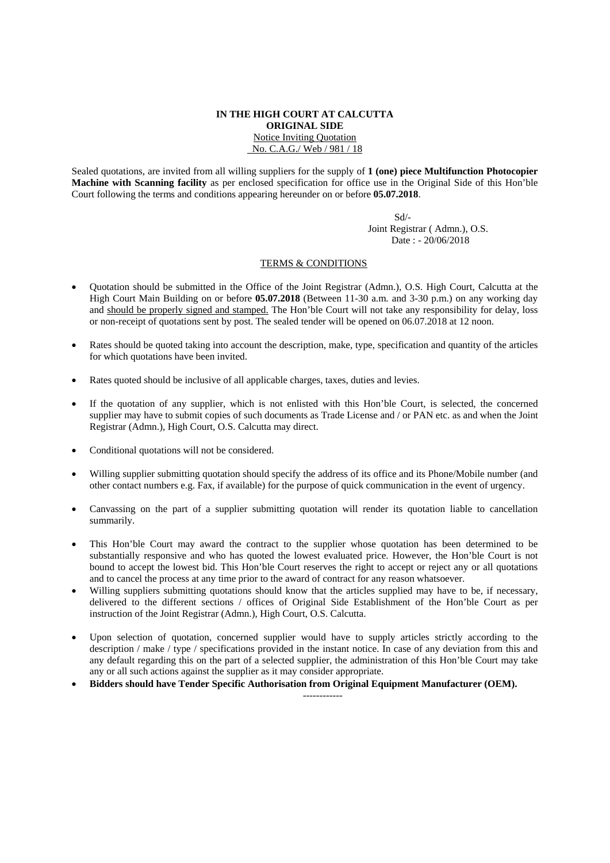## **IN THE HIGH COURT AT CALCUTTA ORIGINAL SIDE**  Notice Inviting Quotation No. C.A.G./ Web / 981 / 18

Sealed quotations, are invited from all willing suppliers for the supply of **1 (one) piece Multifunction Photocopier Machine with Scanning facility** as per enclosed specification for office use in the Original Side of this Hon'ble Court following the terms and conditions appearing hereunder on or before **05.07.2018**.

 Sd/- Joint Registrar ( Admn.), O.S. Date : - 20/06/2018

## TERMS & CONDITIONS

- Quotation should be submitted in the Office of the Joint Registrar (Admn.), O.S. High Court, Calcutta at the High Court Main Building on or before **05.07.2018** (Between 11-30 a.m. and 3-30 p.m.) on any working day and should be properly signed and stamped. The Hon'ble Court will not take any responsibility for delay, loss or non-receipt of quotations sent by post. The sealed tender will be opened on 06.07.2018 at 12 noon.
- Rates should be quoted taking into account the description, make, type, specification and quantity of the articles for which quotations have been invited.
- Rates quoted should be inclusive of all applicable charges, taxes, duties and levies.
- If the quotation of any supplier, which is not enlisted with this Hon'ble Court, is selected, the concerned supplier may have to submit copies of such documents as Trade License and / or PAN etc. as and when the Joint Registrar (Admn.), High Court, O.S. Calcutta may direct.
- Conditional quotations will not be considered.
- Willing supplier submitting quotation should specify the address of its office and its Phone/Mobile number (and other contact numbers e.g. Fax, if available) for the purpose of quick communication in the event of urgency.
- Canvassing on the part of a supplier submitting quotation will render its quotation liable to cancellation summarily.
- This Hon'ble Court may award the contract to the supplier whose quotation has been determined to be substantially responsive and who has quoted the lowest evaluated price. However, the Hon'ble Court is not bound to accept the lowest bid. This Hon'ble Court reserves the right to accept or reject any or all quotations and to cancel the process at any time prior to the award of contract for any reason whatsoever.
- Willing suppliers submitting quotations should know that the articles supplied may have to be, if necessary, delivered to the different sections / offices of Original Side Establishment of the Hon'ble Court as per instruction of the Joint Registrar (Admn.), High Court, O.S. Calcutta.
- Upon selection of quotation, concerned supplier would have to supply articles strictly according to the description / make / type / specifications provided in the instant notice. In case of any deviation from this and any default regarding this on the part of a selected supplier, the administration of this Hon'ble Court may take any or all such actions against the supplier as it may consider appropriate.

------------

• **Bidders should have Tender Specific Authorisation from Original Equipment Manufacturer (OEM).**